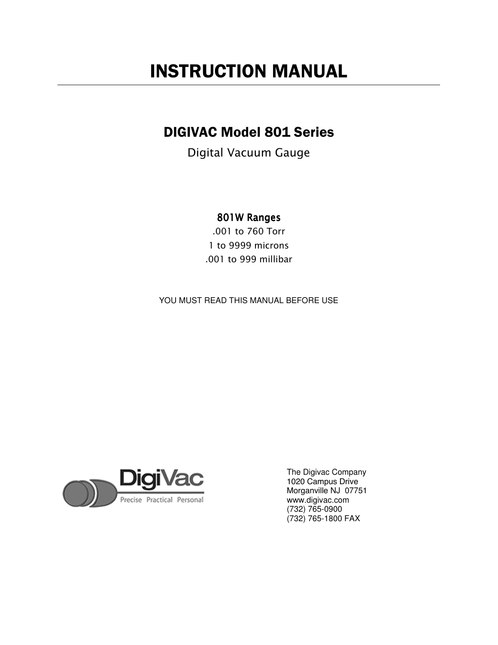# INSTRUCTION MANUAL

## DIGIVAC Model 801 Series

Digital Vacuum Gauge

## 801WRanges

.001 to 760 Torr 1 to 9999 microns .001 to 999 millibar

YOU MUST READ THIS MANUAL BEFORE USE



The Digivac Company 1020 Campus Drive Morganville NJ 07751 www.digivac.com (732) 765-0900 (732) 765-1800 FAX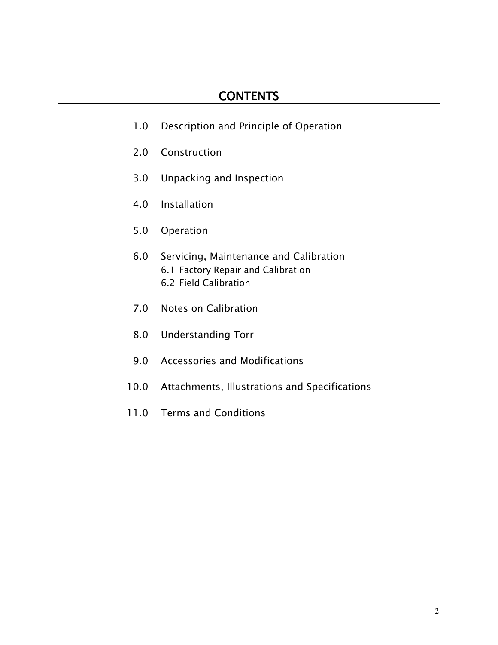- 1.0 Description and Principle of Operation
- 2.0 Construction
- 3.0 Unpacking and Inspection
- 4.0 Installation
- 5.0 Operation
- 6.0 Servicing, Maintenance and Calibration 6.1 Factory Repair and Calibration 6.2 Field Calibration
- 7.0 Notes on Calibration
- 8.0 Understanding Torr
- 9.0 Accessories and Modifications
- 10.0 Attachments, Illustrations and Specifications
- 11.0 Terms and Conditions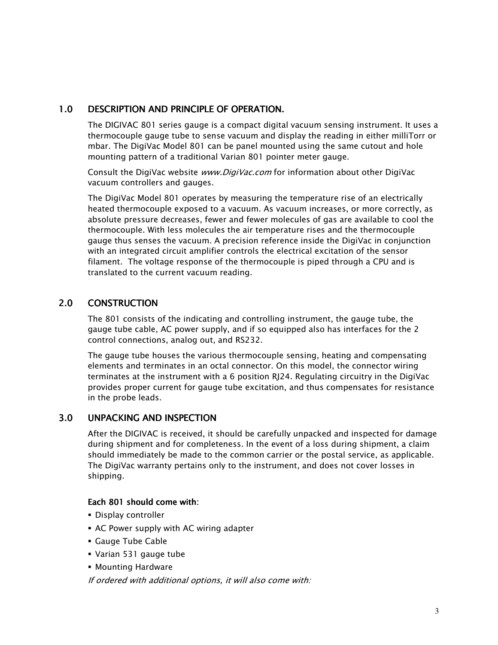## 1.0 DESCRIPTION AND PRINCIPLE OF OPERATION.

The DIGIVAC 801 series gauge is a compact digital vacuum sensing instrument. It uses a thermocouple gauge tube to sense vacuum and display the reading in either milliTorr or mbar. The DigiVac Model 801 can be panel mounted using the same cutout and hole mounting pattern of a traditional Varian 801 pointer meter gauge.

Consult the DigiVac website *www.DigiVac.com* for information about other DigiVac vacuum controllers and gauges.

The DigiVac Model 801 operates by measuring the temperature rise of an electrically heated thermocouple exposed to a vacuum. As vacuum increases, or more correctly, as absolute pressure decreases, fewer and fewer molecules of gas are available to cool the thermocouple. With less molecules the air temperature rises and the thermocouple gauge thus senses the vacuum. A precision reference inside the DigiVac in conjunction with an integrated circuit amplifier controls the electrical excitation of the sensor filament. The voltage response of the thermocouple is piped through a CPU and is translated to the current vacuum reading.

## 2.0 CONSTRUCTION

The 801 consists of the indicating and controlling instrument, the gauge tube, the gauge tube cable, AC power supply, and if so equipped also has interfaces for the 2 control connections, analog out, and RS232.

The gauge tube houses the various thermocouple sensing, heating and compensating elements and terminates in an octal connector. On this model, the connector wiring terminates at the instrument with a 6 position RJ24. Regulating circuitry in the DigiVac provides proper current for gauge tube excitation, and thus compensates for resistance in the probe leads.

## 3.0 UNPACKING AND INSPECTION

After the DIGIVAC is received, it should be carefully unpacked and inspected for damage during shipment and for completeness. In the event of a loss during shipment, a claim should immediately be made to the common carrier or the postal service, as applicable. The DigiVac warranty pertains only to the instrument, and does not cover losses in shipping.

#### Each 801 should come with:

- Display controller
- AC Power supply with AC wiring adapter
- Gauge Tube Cable
- Varian 531 gauge tube
- Mounting Hardware

If ordered with additional options, it will also come with: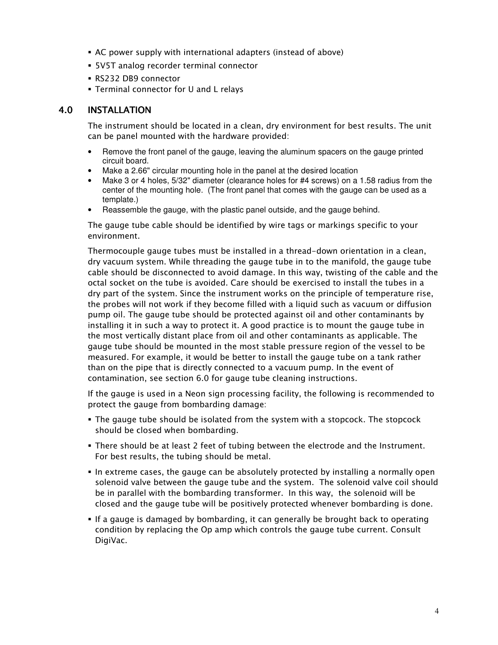- AC power supply with international adapters (instead of above)
- 5V5T analog recorder terminal connector
- RS232 DB9 connector
- Terminal connector for U and L relays

### 4.0 INSTALLATION

The instrument should be located in a clean, dry environment for best results. The unit can be panel mounted with the hardware provided:

- Remove the front panel of the gauge, leaving the aluminum spacers on the gauge printed circuit board.
- Make a 2.66" circular mounting hole in the panel at the desired location
- Make 3 or 4 holes, 5/32" diameter (clearance holes for #4 screws) on a 1.58 radius from the center of the mounting hole. (The front panel that comes with the gauge can be used as a template.)
- Reassemble the gauge, with the plastic panel outside, and the gauge behind.

The gauge tube cable should be identified by wire tags or markings specific to your environment.

Thermocouple gauge tubes must be installed in a thread-down orientation in a clean, dry vacuum system. While threading the gauge tube in to the manifold, the gauge tube cable should be disconnected to avoid damage. In this way, twisting of the cable and the octal socket on the tube is avoided. Care should be exercised to install the tubes in a dry part of the system. Since the instrument works on the principle of temperature rise, the probes will not work if they become filled with a liquid such as vacuum or diffusion pump oil. The gauge tube should be protected against oil and other contaminants by installing it in such a way to protect it. A good practice is to mount the gauge tube in the most vertically distant place from oil and other contaminants as applicable. The gauge tube should be mounted in the most stable pressure region of the vessel to be measured. For example, it would be better to install the gauge tube on a tank rather than on the pipe that is directly connected to a vacuum pump. In the event of contamination, see section 6.0 for gauge tube cleaning instructions.

If the gauge is used in a Neon sign processing facility, the following is recommended to protect the gauge from bombarding damage:

- The gauge tube should be isolated from the system with a stopcock. The stopcock should be closed when bombarding.
- There should be at least 2 feet of tubing between the electrode and the Instrument. For best results, the tubing should be metal.
- In extreme cases, the gauge can be absolutely protected by installing a normally open solenoid valve between the gauge tube and the system. The solenoid valve coil should be in parallel with the bombarding transformer. In this way, the solenoid will be closed and the gauge tube will be positively protected whenever bombarding is done.
- **If a gauge is damaged by bombarding, it can generally be brought back to operating** condition by replacing the Op amp which controls the gauge tube current. Consult DigiVac.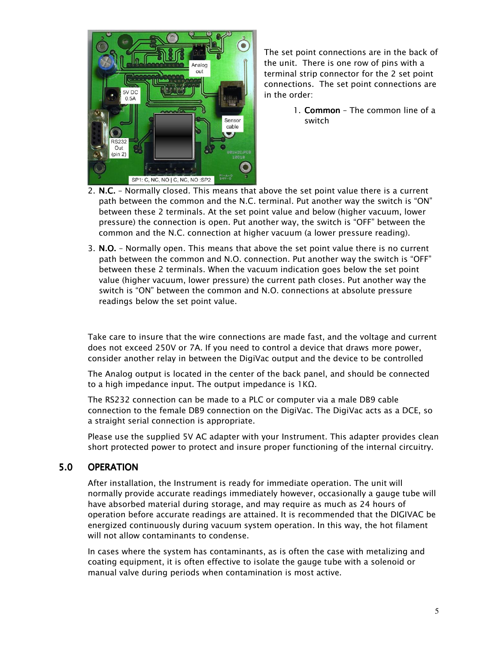

The set point connections are in the back of the unit. There is one row of pins with a terminal strip connector for the 2 set point connections. The set point connections are in the order:

- 1. Common The common line of a switch
- 2. N.C. Normally closed. This means that above the set point value there is a current path between the common and the N.C. terminal. Put another way the switch is "ON" between these 2 terminals. At the set point value and below (higher vacuum, lower pressure) the connection is open. Put another way, the switch is "OFF" between the common and the N.C. connection at higher vacuum (a lower pressure reading).
- 3.  $N.O.$  Normally open. This means that above the set point value there is no current path between the common and N.O. connection. Put another way the switch is "OFF" between these 2 terminals. When the vacuum indication goes below the set point value (higher vacuum, lower pressure) the current path closes. Put another way the switch is "ON" between the common and N.O. connections at absolute pressure readings below the set point value.

Take care to insure that the wire connections are made fast, and the voltage and current does not exceed 250V or 7A. If you need to control a device that draws more power, consider another relay in between the DigiVac output and the device to be controlled

The Analog output is located in the center of the back panel, and should be connected to a high impedance input. The output impedance is 1KΩ.

The RS232 connection can be made to a PLC or computer via a male DB9 cable connection to the female DB9 connection on the DigiVac. The DigiVac acts as a DCE, so a straight serial connection is appropriate.

Please use the supplied 5V AC adapter with your Instrument. This adapter provides clean short protected power to protect and insure proper functioning of the internal circuitry.

#### 5.0 OPERATION

After installation, the Instrument is ready for immediate operation. The unit will normally provide accurate readings immediately however, occasionally a gauge tube will have absorbed material during storage, and may require as much as 24 hours of operation before accurate readings are attained. It is recommended that the DIGIVAC be energized continuously during vacuum system operation. In this way, the hot filament will not allow contaminants to condense.

In cases where the system has contaminants, as is often the case with metalizing and coating equipment, it is often effective to isolate the gauge tube with a solenoid or manual valve during periods when contamination is most active.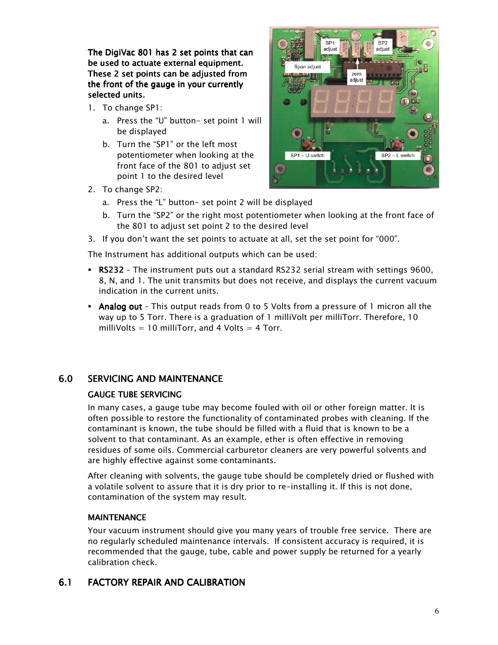The DigiVac 801 has 2 set points that can be used to actuate external equipment. These 2 set points can be adjusted from the front of the gauge in your currently selected units.

- 1. To change SP1:
	- a. Press the "U" button- set point 1 will be displayed
	- b. Turn the "SP1" or the left most potentiometer when looking at the front face of the 801 to adjust set point 1 to the desired level
- 2. To change SP2:



- a. Press the "L" button- set point 2 will be displayed
- b. Turn the "SP2" or the right most potentiometer when looking at the front face of the 801 to adjust set point 2 to the desired level
- 3. If you don't want the set points to actuate at all, set the set point for "000".

The Instrument has additional outputs which can be used:

- RS232 The instrument puts out a standard RS232 serial stream with settings 9600, 8, N, and 1. The unit transmits but does not receive, and displays the current vacuum indication in the current units.
- Analog out This output reads from 0 to 5 Volts from a pressure of 1 micron all the way up to 5 Torr. There is a graduation of 1 milliVolt per milliTorr. Therefore, 10 milliVolts = 10 milliTorr, and 4 Volts = 4 Torr.

## 6.0 SERVICING AND MAINTENANCE

#### GAUGE TUBE SERVICING

In many cases, a gauge tube may become fouled with oil or other foreign matter. It is often possible to restore the functionality of contaminated probes with cleaning. If the contaminant is known, the tube should be filled with a fluid that is known to be a solvent to that contaminant. As an example, ether is often effective in removing residues of some oils. Commercial carburetor cleaners are very powerful solvents and are highly effective against some contaminants.

After cleaning with solvents, the gauge tube should be completely dried or flushed with a volatile solvent to assure that it is dry prior to re-installing it. If this is not done, contamination of the system may result.

#### **MAINTENANCE**

Your vacuum instrument should give you many years of trouble free service. There are no regularly scheduled maintenance intervals. If consistent accuracy is required, it is recommended that the gauge, tube, cable and power supply be returned for a yearly calibration check.

#### 6.1 FACTORY REPAIR AND CALIBRATION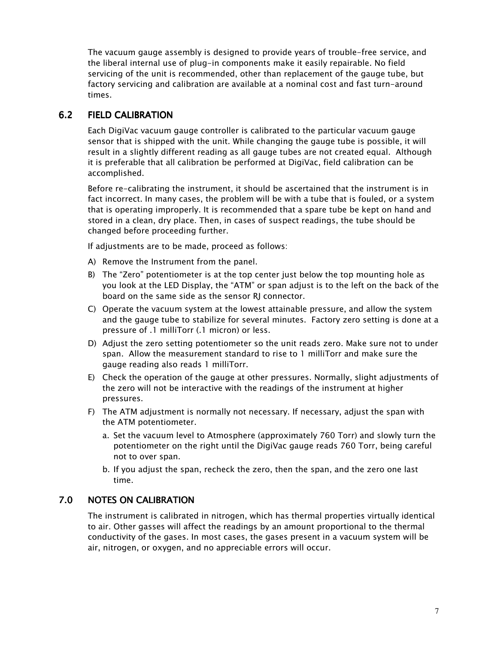The vacuum gauge assembly is designed to provide years of trouble-free service, and the liberal internal use of plug-in components make it easily repairable. No field servicing of the unit is recommended, other than replacement of the gauge tube, but factory servicing and calibration are available at a nominal cost and fast turn-around times.

## 6.2 FIELD CALIBRATION

Each DigiVac vacuum gauge controller is calibrated to the particular vacuum gauge sensor that is shipped with the unit. While changing the gauge tube is possible, it will result in a slightly different reading as all gauge tubes are not created equal. Although it is preferable that all calibration be performed at DigiVac, field calibration can be accomplished.

Before re-calibrating the instrument, it should be ascertained that the instrument is in fact incorrect. In many cases, the problem will be with a tube that is fouled, or a system that is operating improperly. It is recommended that a spare tube be kept on hand and stored in a clean, dry place. Then, in cases of suspect readings, the tube should be changed before proceeding further.

If adjustments are to be made, proceed as follows:

- A) Remove the Instrument from the panel.
- B) The "Zero" potentiometer is at the top center just below the top mounting hole as you look at the LED Display, the "ATM" or span adjust is to the left on the back of the board on the same side as the sensor RJ connector.
- C) Operate the vacuum system at the lowest attainable pressure, and allow the system and the gauge tube to stabilize for several minutes. Factory zero setting is done at a pressure of .1 milliTorr (.1 micron) or less.
- D) Adjust the zero setting potentiometer so the unit reads zero. Make sure not to under span. Allow the measurement standard to rise to 1 milliTorr and make sure the gauge reading also reads 1 milliTorr.
- E) Check the operation of the gauge at other pressures. Normally, slight adjustments of the zero will not be interactive with the readings of the instrument at higher pressures.
- F) The ATM adjustment is normally not necessary. If necessary, adjust the span with the ATM potentiometer.
	- a. Set the vacuum level to Atmosphere (approximately 760 Torr) and slowly turn the potentiometer on the right until the DigiVac gauge reads 760 Torr, being careful not to over span.
	- b. If you adjust the span, recheck the zero, then the span, and the zero one last time.

## 7.0 NOTES ON CALIBRATION

The instrument is calibrated in nitrogen, which has thermal properties virtually identical to air. Other gasses will affect the readings by an amount proportional to the thermal conductivity of the gases. In most cases, the gases present in a vacuum system will be air, nitrogen, or oxygen, and no appreciable errors will occur.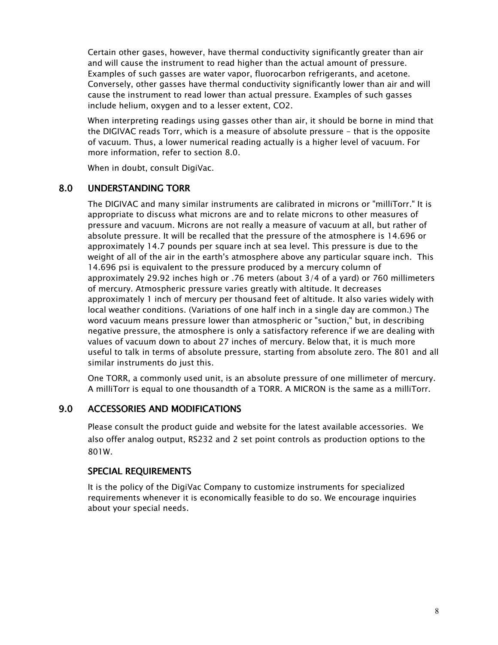Certain other gases, however, have thermal conductivity significantly greater than air and will cause the instrument to read higher than the actual amount of pressure. Examples of such gasses are water vapor, fluorocarbon refrigerants, and acetone. Conversely, other gasses have thermal conductivity significantly lower than air and will cause the instrument to read lower than actual pressure. Examples of such gasses include helium, oxygen and to a lesser extent, CO2.

When interpreting readings using gasses other than air, it should be borne in mind that the DIGIVAC reads Torr, which is a measure of absolute pressure - that is the opposite of vacuum. Thus, a lower numerical reading actually is a higher level of vacuum. For more information, refer to section 8.0.

When in doubt, consult DigiVac.

## 8.0 UNDERSTANDING TORR

The DIGIVAC and many similar instruments are calibrated in microns or "milliTorr." It is appropriate to discuss what microns are and to relate microns to other measures of pressure and vacuum. Microns are not really a measure of vacuum at all, but rather of absolute pressure. It will be recalled that the pressure of the atmosphere is 14.696 or approximately 14.7 pounds per square inch at sea level. This pressure is due to the weight of all of the air in the earth's atmosphere above any particular square inch. This 14.696 psi is equivalent to the pressure produced by a mercury column of approximately 29.92 inches high or .76 meters (about 3/4 of a yard) or 760 millimeters of mercury. Atmospheric pressure varies greatly with altitude. It decreases approximately 1 inch of mercury per thousand feet of altitude. It also varies widely with local weather conditions. (Variations of one half inch in a single day are common.) The word vacuum means pressure lower than atmospheric or "suction," but, in describing negative pressure, the atmosphere is only a satisfactory reference if we are dealing with values of vacuum down to about 27 inches of mercury. Below that, it is much more useful to talk in terms of absolute pressure, starting from absolute zero. The 801 and all similar instruments do just this.

One TORR, a commonly used unit, is an absolute pressure of one millimeter of mercury. A milliTorr is equal to one thousandth of a TORR. A MICRON is the same as a milliTorr.

## 9.0 ACCESSORIES AND MODIFICATIONS

Please consult the product guide and website for the latest available accessories. We also offer analog output, RS232 and 2 set point controls as production options to the 801W.

## **SPECIAL REQUIREMENTS**

It is the policy of the DigiVac Company to customize instruments for specialized requirements whenever it is economically feasible to do so. We encourage inquiries about your special needs.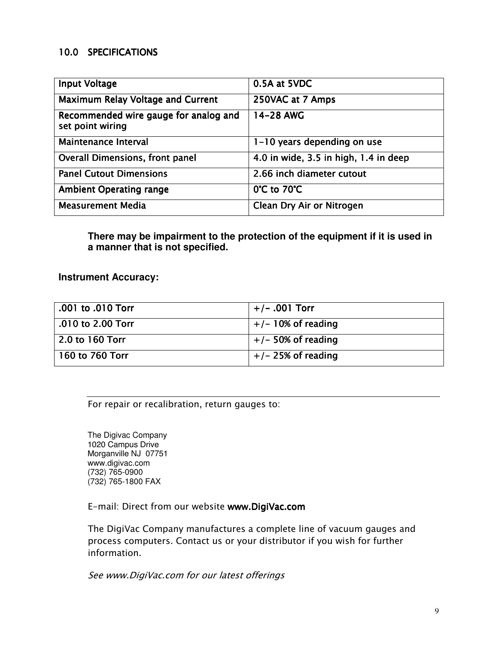## 10.0 SPECIFICATIONS

| <b>Input Voltage</b>                                      | 0.5A at 5VDC                          |
|-----------------------------------------------------------|---------------------------------------|
| <b>Maximum Relay Voltage and Current</b>                  | 250VAC at 7 Amps                      |
| Recommended wire gauge for analog and<br>set point wiring | 14-28 AWG                             |
| <b>Maintenance Interval</b>                               | 1-10 years depending on use           |
| <b>Overall Dimensions, front panel</b>                    | 4.0 in wide, 3.5 in high, 1.4 in deep |
| <b>Panel Cutout Dimensions</b>                            | 2.66 inch diameter cutout             |
| <b>Ambient Operating range</b>                            | 0°C to 70°C                           |
| <b>Measurement Media</b>                                  | Clean Dry Air or Nitrogen             |

**There may be impairment to the protection of the equipment if it is used in a manner that is not specified.** 

**Instrument Accuracy:**

| .001 to .010 Torr   | $+/-$ .001 Torr      |
|---------------------|----------------------|
| $.010$ to 2.00 Torr | $+/-$ 10% of reading |
| 2.0 to 160 Torr     | $+/-$ 50% of reading |
| 160 to 760 Torr     | $+/- 25%$ of reading |

For repair or recalibration, return gauges to:

The Digivac Company 1020 Campus Drive Morganville NJ 07751 www.digivac.com (732) 765-0900 (732) 765-1800 FAX

E-mail: Direct from our website www.DigiVac.com

The DigiVac Company manufactures a complete line of vacuum gauges and process computers. Contact us or your distributor if you wish for further information.

See www.DigiVac.com for our latest offerings